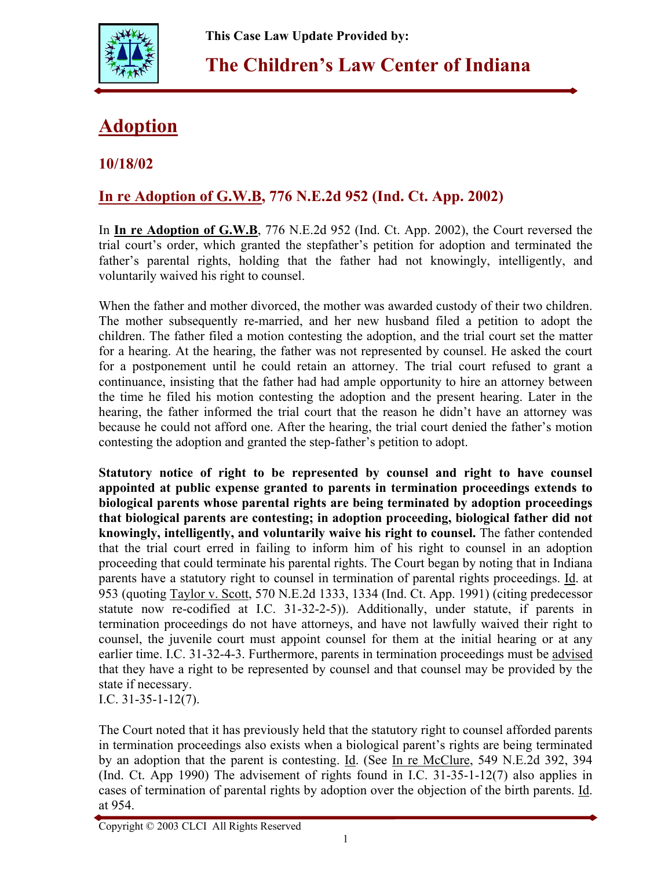**This Case Law Update Provided by:** 



**The Children's Law Center of Indiana**

## **Adoption**

**10/18/02** 

## **In re Adoption of G.W.B, 776 N.E.2d 952 (Ind. Ct. App. 2002)**

In **In re Adoption of G.W.B**, 776 N.E.2d 952 (Ind. Ct. App. 2002), the Court reversed the trial court's order, which granted the stepfather's petition for adoption and terminated the father's parental rights, holding that the father had not knowingly, intelligently, and voluntarily waived his right to counsel.

When the father and mother divorced, the mother was awarded custody of their two children. The mother subsequently re-married, and her new husband filed a petition to adopt the children. The father filed a motion contesting the adoption, and the trial court set the matter for a hearing. At the hearing, the father was not represented by counsel. He asked the court for a postponement until he could retain an attorney. The trial court refused to grant a continuance, insisting that the father had had ample opportunity to hire an attorney between the time he filed his motion contesting the adoption and the present hearing. Later in the hearing, the father informed the trial court that the reason he didn't have an attorney was because he could not afford one. After the hearing, the trial court denied the father's motion contesting the adoption and granted the step-father's petition to adopt.

**Statutory notice of right to be represented by counsel and right to have counsel appointed at public expense granted to parents in termination proceedings extends to biological parents whose parental rights are being terminated by adoption proceedings that biological parents are contesting; in adoption proceeding, biological father did not knowingly, intelligently, and voluntarily waive his right to counsel.** The father contended that the trial court erred in failing to inform him of his right to counsel in an adoption proceeding that could terminate his parental rights. The Court began by noting that in Indiana parents have a statutory right to counsel in termination of parental rights proceedings. Id. at 953 (quoting Taylor v. Scott, 570 N.E.2d 1333, 1334 (Ind. Ct. App. 1991) (citing predecessor statute now re-codified at I.C. 31-32-2-5)). Additionally, under statute, if parents in termination proceedings do not have attorneys, and have not lawfully waived their right to counsel, the juvenile court must appoint counsel for them at the initial hearing or at any earlier time. I.C. 31-32-4-3. Furthermore, parents in termination proceedings must be advised that they have a right to be represented by counsel and that counsel may be provided by the state if necessary.

I.C. 31-35-1-12(7).

The Court noted that it has previously held that the statutory right to counsel afforded parents in termination proceedings also exists when a biological parent's rights are being terminated by an adoption that the parent is contesting. Id. (See In re McClure, 549 N.E.2d 392, 394 (Ind. Ct. App 1990) The advisement of rights found in I.C. 31-35-1-12(7) also applies in cases of termination of parental rights by adoption over the objection of the birth parents. Id. at 954.